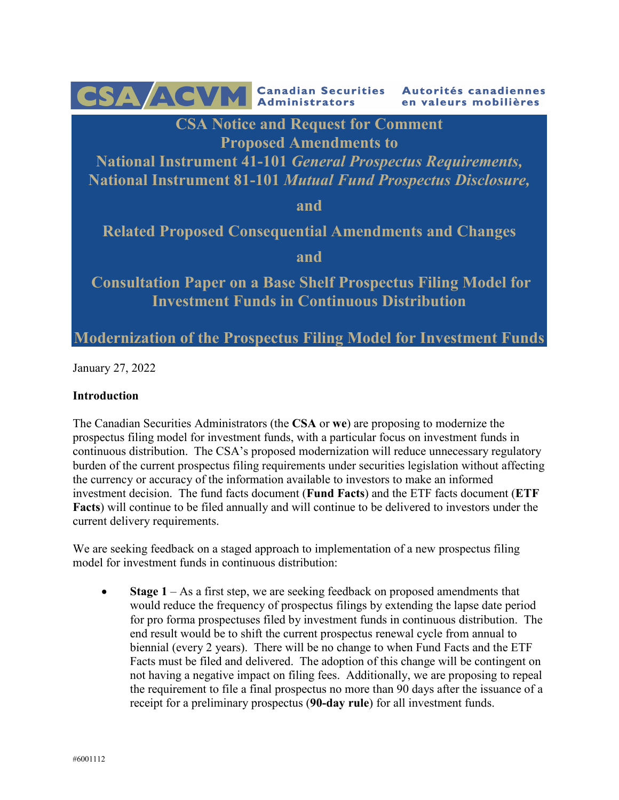CSA ACVM Canadian Securities Autorités canadiennes en valeurs mobilières **CSA Notice and Request for Comment Proposed Amendments to National Instrument 41-101** *General Prospectus Requirements,* **National Instrument 81-101** *Mutual Fund Prospectus Disclosure,*  **and Related Proposed Consequential Amendments and Changes and Consultation Paper on a Base Shelf Prospectus Filing Model for Investment Funds in Continuous Distribution Modernization of the Prospectus Filing Model for Investment Funds**

January 27, 2022

# **Introduction**

The Canadian Securities Administrators (the **CSA** or **we**) are proposing to modernize the prospectus filing model for investment funds, with a particular focus on investment funds in continuous distribution. The CSA's proposed modernization will reduce unnecessary regulatory burden of the current prospectus filing requirements under securities legislation without affecting the currency or accuracy of the information available to investors to make an informed investment decision. The fund facts document (**Fund Facts**) and the ETF facts document (**ETF Facts**) will continue to be filed annually and will continue to be delivered to investors under the current delivery requirements.

We are seeking feedback on a staged approach to implementation of a new prospectus filing model for investment funds in continuous distribution:

• **Stage 1** – As a first step, we are seeking feedback on proposed amendments that would reduce the frequency of prospectus filings by extending the lapse date period for pro forma prospectuses filed by investment funds in continuous distribution. The end result would be to shift the current prospectus renewal cycle from annual to biennial (every 2 years). There will be no change to when Fund Facts and the ETF Facts must be filed and delivered. The adoption of this change will be contingent on not having a negative impact on filing fees. Additionally, we are proposing to repeal the requirement to file a final prospectus no more than 90 days after the issuance of a receipt for a preliminary prospectus (**90-day rule**) for all investment funds.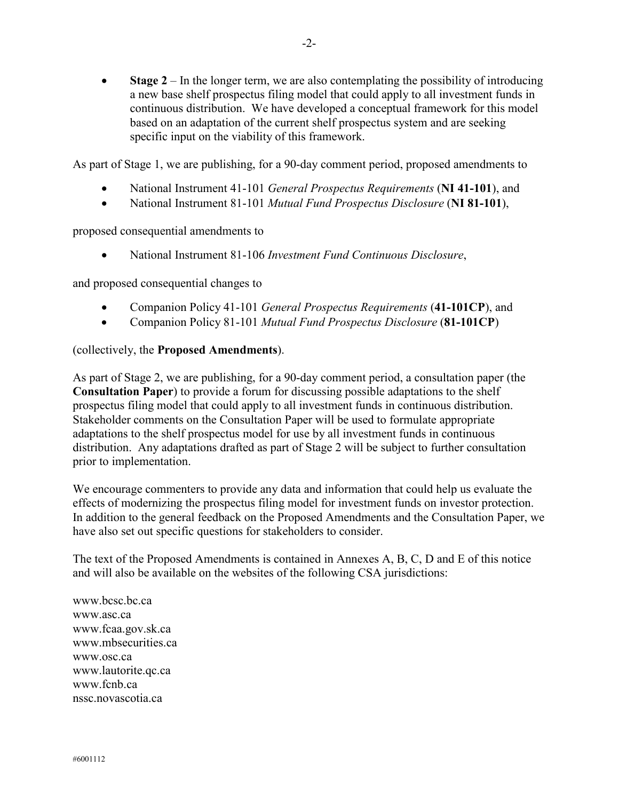• **Stage 2** – In the longer term, we are also contemplating the possibility of introducing a new base shelf prospectus filing model that could apply to all investment funds in continuous distribution. We have developed a conceptual framework for this model based on an adaptation of the current shelf prospectus system and are seeking specific input on the viability of this framework.

As part of Stage 1, we are publishing, for a 90-day comment period, proposed amendments to

- National Instrument 41-101 *General Prospectus Requirements* (**NI 41-101**), and
- National Instrument 81-101 *Mutual Fund Prospectus Disclosure* (**NI 81-101**),

proposed consequential amendments to

• National Instrument 81-106 *Investment Fund Continuous Disclosure*,

and proposed consequential changes to

- Companion Policy 41-101 *General Prospectus Requirements* (**41-101CP**), and
- Companion Policy 81-101 *Mutual Fund Prospectus Disclosure* (**81-101CP**)

### (collectively, the **Proposed Amendments**).

As part of Stage 2, we are publishing, for a 90-day comment period, a consultation paper (the **Consultation Paper**) to provide a forum for discussing possible adaptations to the shelf prospectus filing model that could apply to all investment funds in continuous distribution. Stakeholder comments on the Consultation Paper will be used to formulate appropriate adaptations to the shelf prospectus model for use by all investment funds in continuous distribution. Any adaptations drafted as part of Stage 2 will be subject to further consultation prior to implementation.

We encourage commenters to provide any data and information that could help us evaluate the effects of modernizing the prospectus filing model for investment funds on investor protection. In addition to the general feedback on the Proposed Amendments and the Consultation Paper, we have also set out specific questions for stakeholders to consider.

The text of the Proposed Amendments is contained in Annexes A, B, C, D and E of this notice and will also be available on the websites of the following CSA jurisdictions:

www.bcsc.bc.ca www.asc.ca www.fcaa.gov.sk.ca www.mbsecurities.ca www.osc.ca www.lautorite.qc.ca www.fcnb.ca nssc.novascotia.ca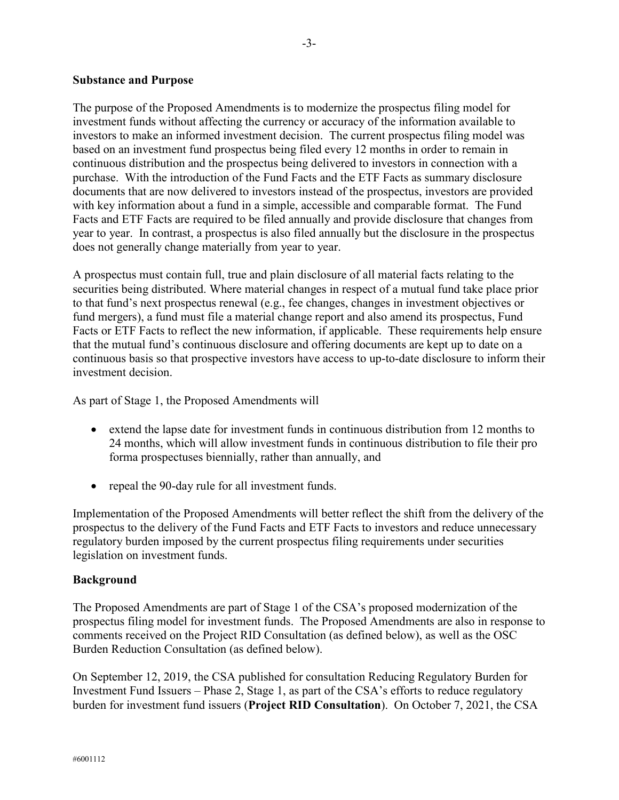### **Substance and Purpose**

The purpose of the Proposed Amendments is to modernize the prospectus filing model for investment funds without affecting the currency or accuracy of the information available to investors to make an informed investment decision. The current prospectus filing model was based on an investment fund prospectus being filed every 12 months in order to remain in continuous distribution and the prospectus being delivered to investors in connection with a purchase. With the introduction of the Fund Facts and the ETF Facts as summary disclosure documents that are now delivered to investors instead of the prospectus, investors are provided with key information about a fund in a simple, accessible and comparable format. The Fund Facts and ETF Facts are required to be filed annually and provide disclosure that changes from year to year. In contrast, a prospectus is also filed annually but the disclosure in the prospectus does not generally change materially from year to year.

A prospectus must contain full, true and plain disclosure of all material facts relating to the securities being distributed. Where material changes in respect of a mutual fund take place prior to that fund's next prospectus renewal (e.g., fee changes, changes in investment objectives or fund mergers), a fund must file a material change report and also amend its prospectus, Fund Facts or ETF Facts to reflect the new information, if applicable. These requirements help ensure that the mutual fund's continuous disclosure and offering documents are kept up to date on a continuous basis so that prospective investors have access to up-to-date disclosure to inform their investment decision.

As part of Stage 1, the Proposed Amendments will

- extend the lapse date for investment funds in continuous distribution from 12 months to 24 months, which will allow investment funds in continuous distribution to file their pro forma prospectuses biennially, rather than annually, and
- repeal the 90-day rule for all investment funds.

Implementation of the Proposed Amendments will better reflect the shift from the delivery of the prospectus to the delivery of the Fund Facts and ETF Facts to investors and reduce unnecessary regulatory burden imposed by the current prospectus filing requirements under securities legislation on investment funds.

### **Background**

The Proposed Amendments are part of Stage 1 of the CSA's proposed modernization of the prospectus filing model for investment funds. The Proposed Amendments are also in response to comments received on the Project RID Consultation (as defined below), as well as the OSC Burden Reduction Consultation (as defined below).

On September 12, 2019, the CSA published for consultation Reducing Regulatory Burden for Investment Fund Issuers – Phase 2, Stage 1, as part of the CSA's efforts to reduce regulatory burden for investment fund issuers (**Project RID Consultation**). On October 7, 2021, the CSA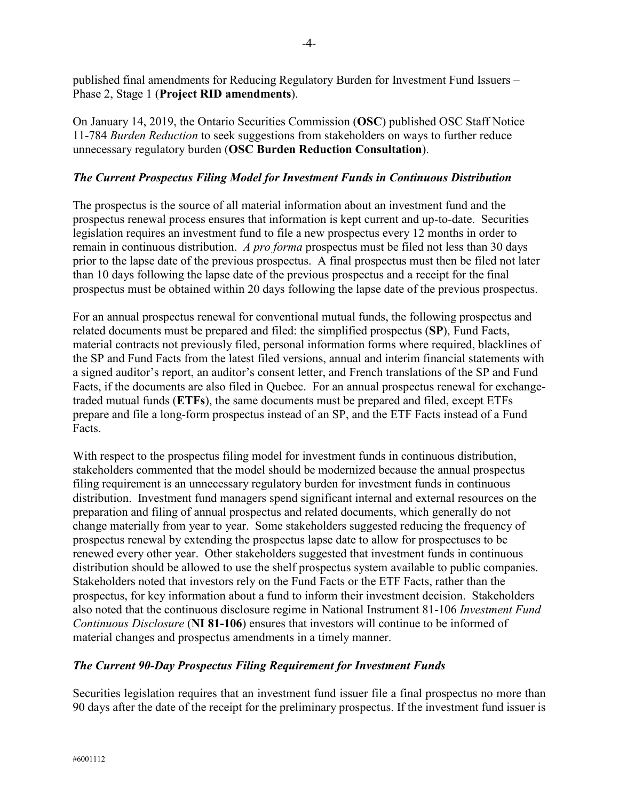published final amendments for Reducing Regulatory Burden for Investment Fund Issuers – Phase 2, Stage 1 (**Project RID amendments**).

On January 14, 2019, the Ontario Securities Commission (**OSC**) published OSC Staff Notice 11-784 *Burden Reduction* to seek suggestions from stakeholders on ways to further reduce unnecessary regulatory burden (**OSC Burden Reduction Consultation**).

# *The Current Prospectus Filing Model for Investment Funds in Continuous Distribution*

The prospectus is the source of all material information about an investment fund and the prospectus renewal process ensures that information is kept current and up-to-date. Securities legislation requires an investment fund to file a new prospectus every 12 months in order to remain in continuous distribution. *A pro forma* prospectus must be filed not less than 30 days prior to the lapse date of the previous prospectus. A final prospectus must then be filed not later than 10 days following the lapse date of the previous prospectus and a receipt for the final prospectus must be obtained within 20 days following the lapse date of the previous prospectus.

For an annual prospectus renewal for conventional mutual funds, the following prospectus and related documents must be prepared and filed: the simplified prospectus (**SP**), Fund Facts, material contracts not previously filed, personal information forms where required, blacklines of the SP and Fund Facts from the latest filed versions, annual and interim financial statements with a signed auditor's report, an auditor's consent letter, and French translations of the SP and Fund Facts, if the documents are also filed in Quebec. For an annual prospectus renewal for exchangetraded mutual funds (**ETFs**), the same documents must be prepared and filed, except ETFs prepare and file a long-form prospectus instead of an SP, and the ETF Facts instead of a Fund Facts.

With respect to the prospectus filing model for investment funds in continuous distribution, stakeholders commented that the model should be modernized because the annual prospectus filing requirement is an unnecessary regulatory burden for investment funds in continuous distribution. Investment fund managers spend significant internal and external resources on the preparation and filing of annual prospectus and related documents, which generally do not change materially from year to year. Some stakeholders suggested reducing the frequency of prospectus renewal by extending the prospectus lapse date to allow for prospectuses to be renewed every other year. Other stakeholders suggested that investment funds in continuous distribution should be allowed to use the shelf prospectus system available to public companies. Stakeholders noted that investors rely on the Fund Facts or the ETF Facts, rather than the prospectus, for key information about a fund to inform their investment decision. Stakeholders also noted that the continuous disclosure regime in National Instrument 81-106 *Investment Fund Continuous Disclosure* (**NI 81-106**) ensures that investors will continue to be informed of material changes and prospectus amendments in a timely manner.

### *The Current 90-Day Prospectus Filing Requirement for Investment Funds*

Securities legislation requires that an investment fund issuer file a final prospectus no more than 90 days after the date of the receipt for the preliminary prospectus. If the investment fund issuer is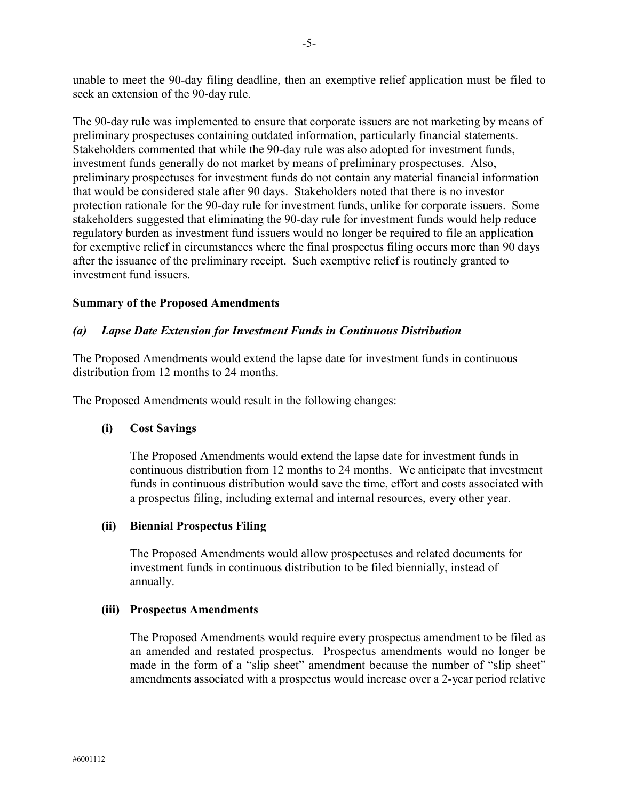unable to meet the 90-day filing deadline, then an exemptive relief application must be filed to seek an extension of the 90-day rule.

The 90-day rule was implemented to ensure that corporate issuers are not marketing by means of preliminary prospectuses containing outdated information, particularly financial statements. Stakeholders commented that while the 90-day rule was also adopted for investment funds, investment funds generally do not market by means of preliminary prospectuses. Also, preliminary prospectuses for investment funds do not contain any material financial information that would be considered stale after 90 days. Stakeholders noted that there is no investor protection rationale for the 90-day rule for investment funds, unlike for corporate issuers. Some stakeholders suggested that eliminating the 90-day rule for investment funds would help reduce regulatory burden as investment fund issuers would no longer be required to file an application for exemptive relief in circumstances where the final prospectus filing occurs more than 90 days after the issuance of the preliminary receipt. Such exemptive relief is routinely granted to investment fund issuers.

### **Summary of the Proposed Amendments**

### *(a) Lapse Date Extension for Investment Funds in Continuous Distribution*

The Proposed Amendments would extend the lapse date for investment funds in continuous distribution from 12 months to 24 months.

The Proposed Amendments would result in the following changes:

### **(i) Cost Savings**

The Proposed Amendments would extend the lapse date for investment funds in continuous distribution from 12 months to 24 months. We anticipate that investment funds in continuous distribution would save the time, effort and costs associated with a prospectus filing, including external and internal resources, every other year.

### **(ii) Biennial Prospectus Filing**

The Proposed Amendments would allow prospectuses and related documents for investment funds in continuous distribution to be filed biennially, instead of annually.

### **(iii) Prospectus Amendments**

The Proposed Amendments would require every prospectus amendment to be filed as an amended and restated prospectus. Prospectus amendments would no longer be made in the form of a "slip sheet" amendment because the number of "slip sheet" amendments associated with a prospectus would increase over a 2-year period relative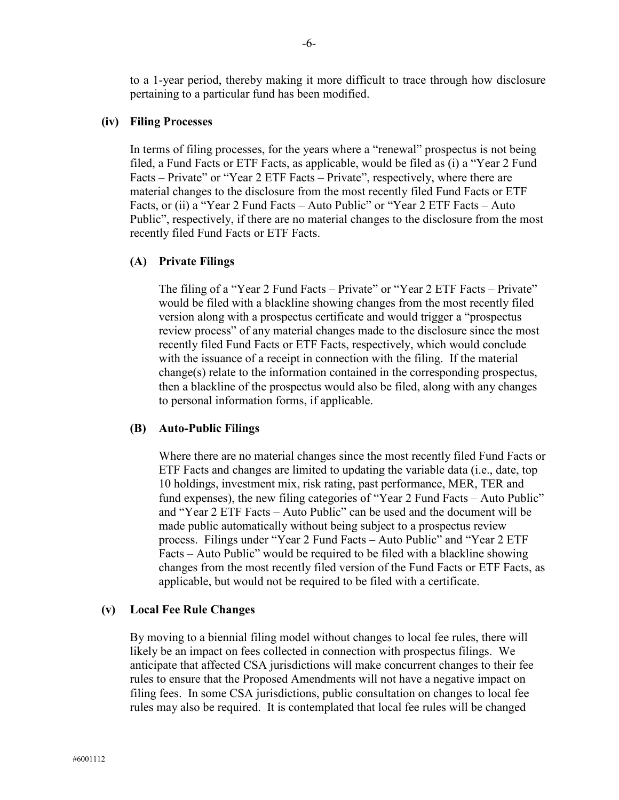to a 1-year period, thereby making it more difficult to trace through how disclosure pertaining to a particular fund has been modified.

### **(iv) Filing Processes**

In terms of filing processes, for the years where a "renewal" prospectus is not being filed, a Fund Facts or ETF Facts, as applicable, would be filed as (i) a "Year 2 Fund Facts – Private" or "Year 2 ETF Facts – Private", respectively, where there are material changes to the disclosure from the most recently filed Fund Facts or ETF Facts, or (ii) a "Year 2 Fund Facts – Auto Public" or "Year 2 ETF Facts – Auto Public", respectively, if there are no material changes to the disclosure from the most recently filed Fund Facts or ETF Facts.

#### **(A) Private Filings**

The filing of a "Year 2 Fund Facts – Private" or "Year 2 ETF Facts – Private" would be filed with a blackline showing changes from the most recently filed version along with a prospectus certificate and would trigger a "prospectus review process" of any material changes made to the disclosure since the most recently filed Fund Facts or ETF Facts, respectively, which would conclude with the issuance of a receipt in connection with the filing. If the material change(s) relate to the information contained in the corresponding prospectus, then a blackline of the prospectus would also be filed, along with any changes to personal information forms, if applicable.

#### **(B) Auto-Public Filings**

Where there are no material changes since the most recently filed Fund Facts or ETF Facts and changes are limited to updating the variable data (i.e., date, top 10 holdings, investment mix, risk rating, past performance, MER, TER and fund expenses), the new filing categories of "Year 2 Fund Facts – Auto Public" and "Year 2 ETF Facts – Auto Public" can be used and the document will be made public automatically without being subject to a prospectus review process. Filings under "Year 2 Fund Facts – Auto Public" and "Year 2 ETF Facts – Auto Public" would be required to be filed with a blackline showing changes from the most recently filed version of the Fund Facts or ETF Facts, as applicable, but would not be required to be filed with a certificate.

#### **(v) Local Fee Rule Changes**

By moving to a biennial filing model without changes to local fee rules, there will likely be an impact on fees collected in connection with prospectus filings. We anticipate that affected CSA jurisdictions will make concurrent changes to their fee rules to ensure that the Proposed Amendments will not have a negative impact on filing fees. In some CSA jurisdictions, public consultation on changes to local fee rules may also be required. It is contemplated that local fee rules will be changed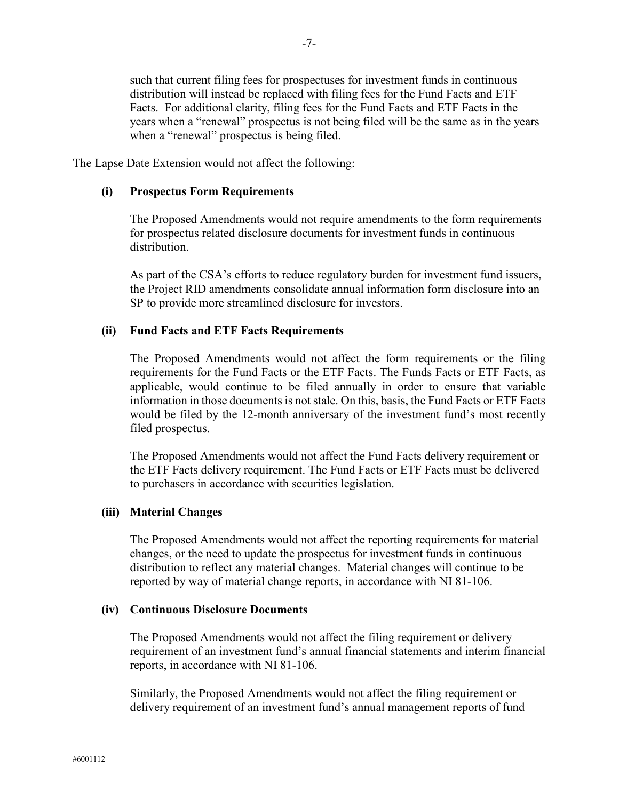such that current filing fees for prospectuses for investment funds in continuous distribution will instead be replaced with filing fees for the Fund Facts and ETF Facts. For additional clarity, filing fees for the Fund Facts and ETF Facts in the years when a "renewal" prospectus is not being filed will be the same as in the years when a "renewal" prospectus is being filed.

The Lapse Date Extension would not affect the following:

### **(i) Prospectus Form Requirements**

The Proposed Amendments would not require amendments to the form requirements for prospectus related disclosure documents for investment funds in continuous distribution.

As part of the CSA's efforts to reduce regulatory burden for investment fund issuers, the Project RID amendments consolidate annual information form disclosure into an SP to provide more streamlined disclosure for investors.

### **(ii) Fund Facts and ETF Facts Requirements**

The Proposed Amendments would not affect the form requirements or the filing requirements for the Fund Facts or the ETF Facts. The Funds Facts or ETF Facts, as applicable, would continue to be filed annually in order to ensure that variable information in those documents is not stale. On this, basis, the Fund Facts or ETF Facts would be filed by the 12-month anniversary of the investment fund's most recently filed prospectus.

The Proposed Amendments would not affect the Fund Facts delivery requirement or the ETF Facts delivery requirement. The Fund Facts or ETF Facts must be delivered to purchasers in accordance with securities legislation.

### **(iii) Material Changes**

The Proposed Amendments would not affect the reporting requirements for material changes, or the need to update the prospectus for investment funds in continuous distribution to reflect any material changes. Material changes will continue to be reported by way of material change reports, in accordance with NI 81-106.

### **(iv) Continuous Disclosure Documents**

The Proposed Amendments would not affect the filing requirement or delivery requirement of an investment fund's annual financial statements and interim financial reports, in accordance with NI 81-106.

Similarly, the Proposed Amendments would not affect the filing requirement or delivery requirement of an investment fund's annual management reports of fund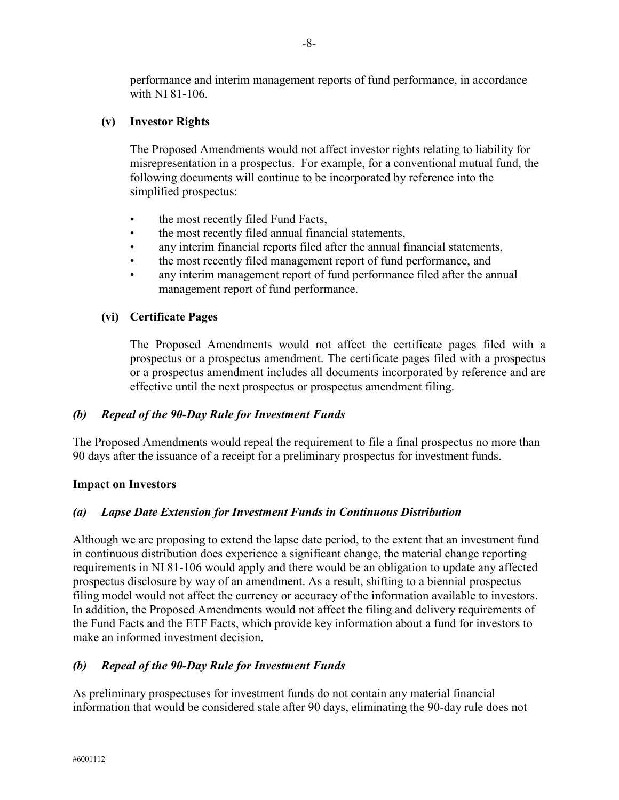performance and interim management reports of fund performance, in accordance with NI 81-106.

# **(v) Investor Rights**

The Proposed Amendments would not affect investor rights relating to liability for misrepresentation in a prospectus. For example, for a conventional mutual fund, the following documents will continue to be incorporated by reference into the simplified prospectus:

- the most recently filed Fund Facts,
- the most recently filed annual financial statements,
- any interim financial reports filed after the annual financial statements,
- the most recently filed management report of fund performance, and
- any interim management report of fund performance filed after the annual management report of fund performance.

### **(vi) Certificate Pages**

The Proposed Amendments would not affect the certificate pages filed with a prospectus or a prospectus amendment. The certificate pages filed with a prospectus or a prospectus amendment includes all documents incorporated by reference and are effective until the next prospectus or prospectus amendment filing.

### *(b) Repeal of the 90-Day Rule for Investment Funds*

The Proposed Amendments would repeal the requirement to file a final prospectus no more than 90 days after the issuance of a receipt for a preliminary prospectus for investment funds.

### **Impact on Investors**

### *(a) Lapse Date Extension for Investment Funds in Continuous Distribution*

Although we are proposing to extend the lapse date period, to the extent that an investment fund in continuous distribution does experience a significant change, the material change reporting requirements in NI 81-106 would apply and there would be an obligation to update any affected prospectus disclosure by way of an amendment. As a result, shifting to a biennial prospectus filing model would not affect the currency or accuracy of the information available to investors. In addition, the Proposed Amendments would not affect the filing and delivery requirements of the Fund Facts and the ETF Facts, which provide key information about a fund for investors to make an informed investment decision.

### *(b) Repeal of the 90-Day Rule for Investment Funds*

As preliminary prospectuses for investment funds do not contain any material financial information that would be considered stale after 90 days, eliminating the 90-day rule does not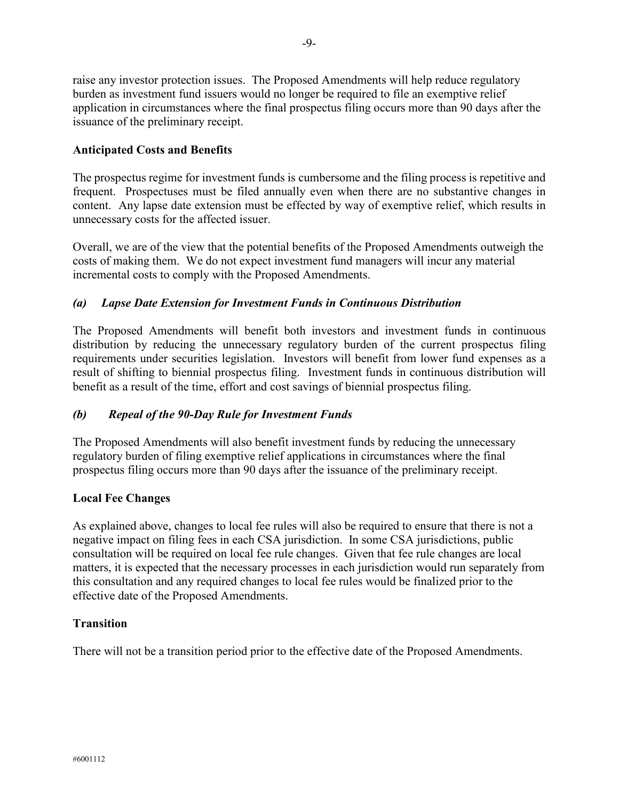raise any investor protection issues. The Proposed Amendments will help reduce regulatory burden as investment fund issuers would no longer be required to file an exemptive relief application in circumstances where the final prospectus filing occurs more than 90 days after the issuance of the preliminary receipt.

# **Anticipated Costs and Benefits**

The prospectus regime for investment funds is cumbersome and the filing process is repetitive and frequent. Prospectuses must be filed annually even when there are no substantive changes in content. Any lapse date extension must be effected by way of exemptive relief, which results in unnecessary costs for the affected issuer.

Overall, we are of the view that the potential benefits of the Proposed Amendments outweigh the costs of making them. We do not expect investment fund managers will incur any material incremental costs to comply with the Proposed Amendments.

# *(a) Lapse Date Extension for Investment Funds in Continuous Distribution*

The Proposed Amendments will benefit both investors and investment funds in continuous distribution by reducing the unnecessary regulatory burden of the current prospectus filing requirements under securities legislation. Investors will benefit from lower fund expenses as a result of shifting to biennial prospectus filing. Investment funds in continuous distribution will benefit as a result of the time, effort and cost savings of biennial prospectus filing.

# *(b) Repeal of the 90-Day Rule for Investment Funds*

The Proposed Amendments will also benefit investment funds by reducing the unnecessary regulatory burden of filing exemptive relief applications in circumstances where the final prospectus filing occurs more than 90 days after the issuance of the preliminary receipt.

### **Local Fee Changes**

As explained above, changes to local fee rules will also be required to ensure that there is not a negative impact on filing fees in each CSA jurisdiction. In some CSA jurisdictions, public consultation will be required on local fee rule changes. Given that fee rule changes are local matters, it is expected that the necessary processes in each jurisdiction would run separately from this consultation and any required changes to local fee rules would be finalized prior to the effective date of the Proposed Amendments.

### **Transition**

There will not be a transition period prior to the effective date of the Proposed Amendments.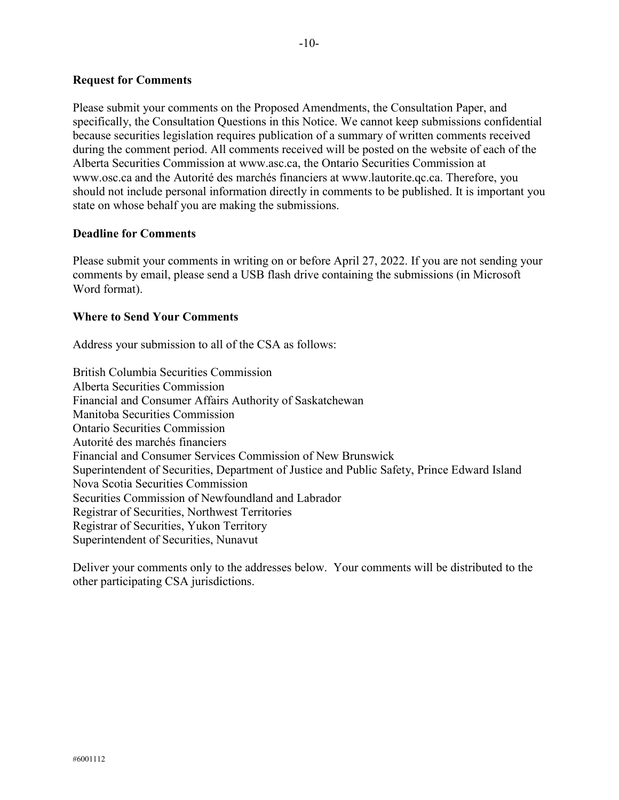### **Request for Comments**

Please submit your comments on the Proposed Amendments, the Consultation Paper, and specifically, the Consultation Questions in this Notice. We cannot keep submissions confidential because securities legislation requires publication of a summary of written comments received during the comment period. All comments received will be posted on the website of each of the Alberta Securities Commission at www.asc.ca, the Ontario Securities Commission at [www.osc.ca](http://www.osc.ca/) and the Autorité des marchés financiers at www.lautorite.qc.ca. Therefore, you should not include personal information directly in comments to be published. It is important you state on whose behalf you are making the submissions.

### **Deadline for Comments**

Please submit your comments in writing on or before April 27, 2022. If you are not sending your comments by email, please send a USB flash drive containing the submissions (in Microsoft Word format).

### **Where to Send Your Comments**

Address your submission to all of the CSA as follows:

British Columbia Securities Commission Alberta Securities Commission Financial and Consumer Affairs Authority of Saskatchewan Manitoba Securities Commission Ontario Securities Commission Autorité des marchés financiers Financial and Consumer Services Commission of New Brunswick Superintendent of Securities, Department of Justice and Public Safety, Prince Edward Island Nova Scotia Securities Commission Securities Commission of Newfoundland and Labrador Registrar of Securities, Northwest Territories Registrar of Securities, Yukon Territory Superintendent of Securities, Nunavut

Deliver your comments only to the addresses below. Your comments will be distributed to the other participating CSA jurisdictions.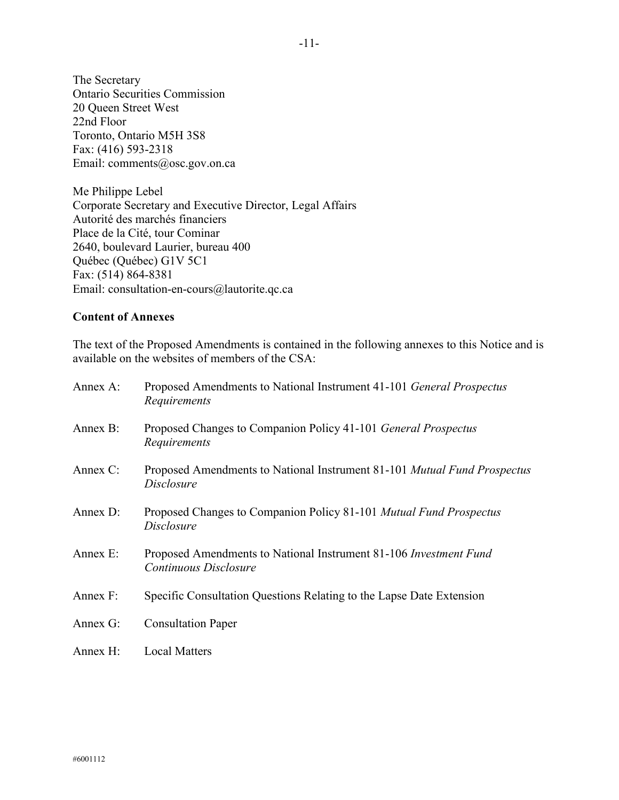The Secretary Ontario Securities Commission 20 Queen Street West 22nd Floor Toronto, Ontario M5H 3S8 Fax: (416) 593-2318 Email: [comments@osc.gov.on.ca](mailto:comments@osc.gov.on.ca)

Me Philippe Lebel Corporate Secretary and Executive Director, Legal Affairs Autorité des marchés financiers Place de la Cité, tour Cominar 2640, boulevard Laurier, bureau 400 Québec (Québec) G1V 5C1 Fax: (514) 864-8381 Email: consultation-en-cours@lautorite.qc.ca

### **Content of Annexes**

The text of the Proposed Amendments is contained in the following annexes to this Notice and is available on the websites of members of the CSA:

| Annex A: | Proposed Amendments to National Instrument 41-101 General Prospectus<br>Requirements          |
|----------|-----------------------------------------------------------------------------------------------|
| Annex B: | Proposed Changes to Companion Policy 41-101 General Prospectus<br>Requirements                |
| Annex C: | Proposed Amendments to National Instrument 81-101 <i>Mutual Fund Prospectus</i><br>Disclosure |
| Annex D: | Proposed Changes to Companion Policy 81-101 Mutual Fund Prospectus<br>Disclosure              |
| Annex E: | Proposed Amendments to National Instrument 81-106 Investment Fund<br>Continuous Disclosure    |
| Annex F: | Specific Consultation Questions Relating to the Lapse Date Extension                          |
| Annex G: | <b>Consultation Paper</b>                                                                     |
| Annex H: | <b>Local Matters</b>                                                                          |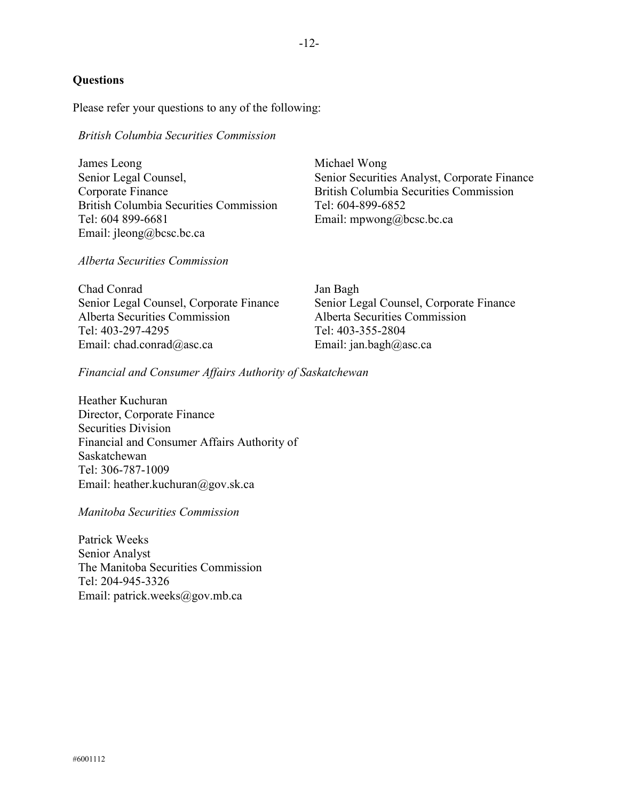# **Questions**

Please refer your questions to any of the following:

### *British Columbia Securities Commission*

James Leong Senior Legal Counsel, Corporate Finance British Columbia Securities Commission Tel: 604 899-6681 Email: [jleong@bcsc.bc.ca](mailto:jleong@bcsc.bc.ca)

*Alberta Securities Commission*

Chad Conrad Senior Legal Counsel, Corporate Finance Alberta Securities Commission Tel: 403-297-4295 Email: chad.conrad@asc.ca

Michael Wong Senior Securities Analyst, Corporate Finance British Columbia Securities Commission Tel: 604-899-6852 Email: [mpwong@bcsc.bc.ca](mailto:mpwong@bcsc.bc.ca)

Jan Bagh Senior Legal Counsel, Corporate Finance Alberta Securities Commission Tel: 403-355-2804 Email: jan.bagh@asc.ca

### *Financial and Consumer Affairs Authority of Saskatchewan*

Heather Kuchuran Director, Corporate Finance Securities Division Financial and Consumer Affairs Authority of Saskatchewan Tel: 306-787-1009 Email: heather.kuchuran@gov.sk.ca

*Manitoba Securities Commission*

Patrick Weeks Senior Analyst The Manitoba Securities Commission Tel: 204-945-3326 Email: patrick.weeks@gov.mb.ca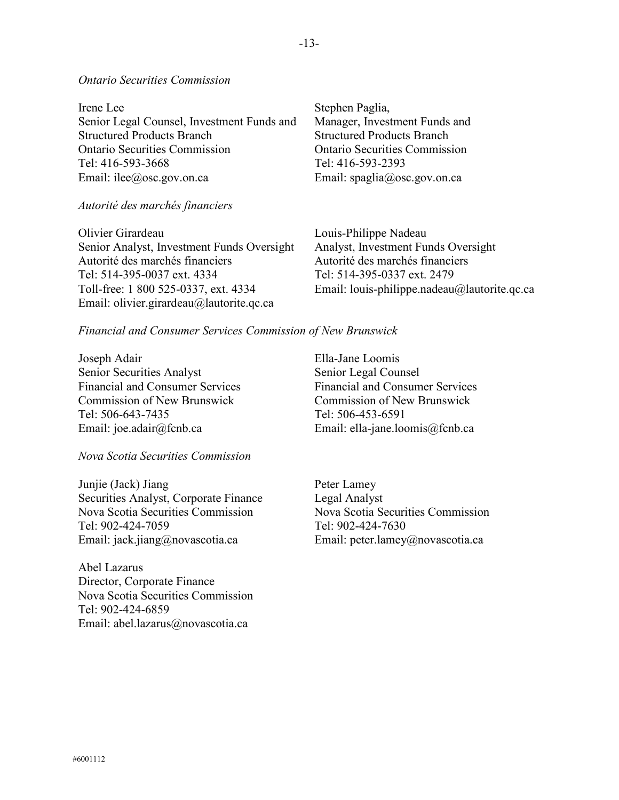### *Ontario Securities Commission*

Irene Lee Senior Legal Counsel, Investment Funds and Structured Products Branch Ontario Securities Commission Tel: 416-593-3668 Email: ilee@osc.gov.on.ca

*Autorité des marchés financiers*

Olivier Girardeau Senior Analyst, Investment Funds Oversight Autorité des marchés financiers Tel: 514-395-0037 ext. 4334 Toll-free: 1 800 525-0337, ext. 4334 Email: olivier.girardeau@lautorite.qc.ca

Stephen Paglia, Manager, Investment Funds and Structured Products Branch Ontario Securities Commission Tel: 416-593-2393 Email: spaglia@osc.gov.on.ca

Louis-Philippe Nadeau Analyst, Investment Funds Oversight Autorité des marchés financiers Tel: 514-395-0337 ext. 2479 Email: louis-philippe.nadeau@lautorite.qc.ca

#### *Financial and Consumer Services Commission of New Brunswick*

Joseph Adair Senior Securities Analyst Financial and Consumer Services Commission of New Brunswick Tel: 506-643-7435 Email: joe.adair@fcnb.ca

### *Nova Scotia Securities Commission*

Junjie (Jack) Jiang Securities Analyst, Corporate Finance Nova Scotia Securities Commission Tel: 902-424-7059 Email: jack.jiang@novascotia.ca

Abel Lazarus Director, Corporate Finance Nova Scotia Securities Commission Tel: 902-424-6859 Email: abel.lazarus@novascotia.ca

Ella-Jane Loomis Senior Legal Counsel Financial and Consumer Services Commission of New Brunswick Tel: 506-453-6591 Email: [ella-jane.loomis@fcnb.ca](mailto:ella-jane.loomis@fcnb.ca)

Peter Lamey Legal Analyst Nova Scotia Securities Commission Tel: 902-424-7630 Email: peter.lamey@novascotia.ca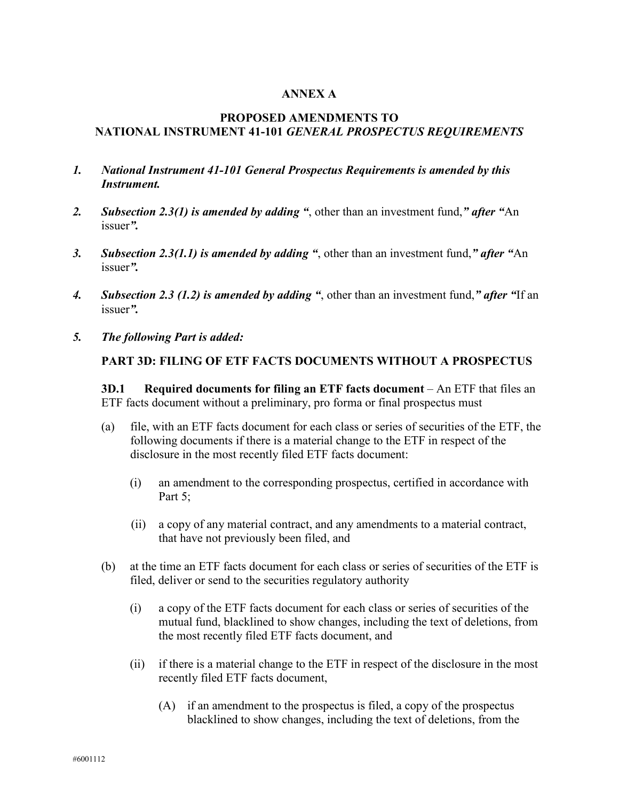# **ANNEX A**

# **PROPOSED AMENDMENTS TO NATIONAL INSTRUMENT 41-101** *GENERAL PROSPECTUS REQUIREMENTS*

- *1. National Instrument 41-101 General Prospectus Requirements is amended by this Instrument.*
- *2. Subsection 2.3(1) is amended by adding "*, other than an investment fund,*" after "*An issuer*".*
- *3. Subsection 2.3(1.1) is amended by adding "*, other than an investment fund,*" after "*An issuer*".*
- *4. Subsection 2.3 (1.2) is amended by adding "*, other than an investment fund,*" after "*If an issuer*".*
- *5. The following Part is added:*

### **PART 3D: FILING OF ETF FACTS DOCUMENTS WITHOUT A PROSPECTUS**

**3D.1 Required documents for filing an ETF facts document** – An ETF that files an ETF facts document without a preliminary, pro forma or final prospectus must

- (a) file, with an ETF facts document for each class or series of securities of the ETF, the following documents if there is a material change to the ETF in respect of the disclosure in the most recently filed ETF facts document:
	- (i) an amendment to the corresponding prospectus, certified in accordance with Part 5:
	- (ii) a copy of any material contract, and any amendments to a material contract, that have not previously been filed, and
- (b) at the time an ETF facts document for each class or series of securities of the ETF is filed, deliver or send to the securities regulatory authority
	- (i) a copy of the ETF facts document for each class or series of securities of the mutual fund, blacklined to show changes, including the text of deletions, from the most recently filed ETF facts document, and
	- (ii) if there is a material change to the ETF in respect of the disclosure in the most recently filed ETF facts document,
		- (A) if an amendment to the prospectus is filed, a copy of the prospectus blacklined to show changes, including the text of deletions, from the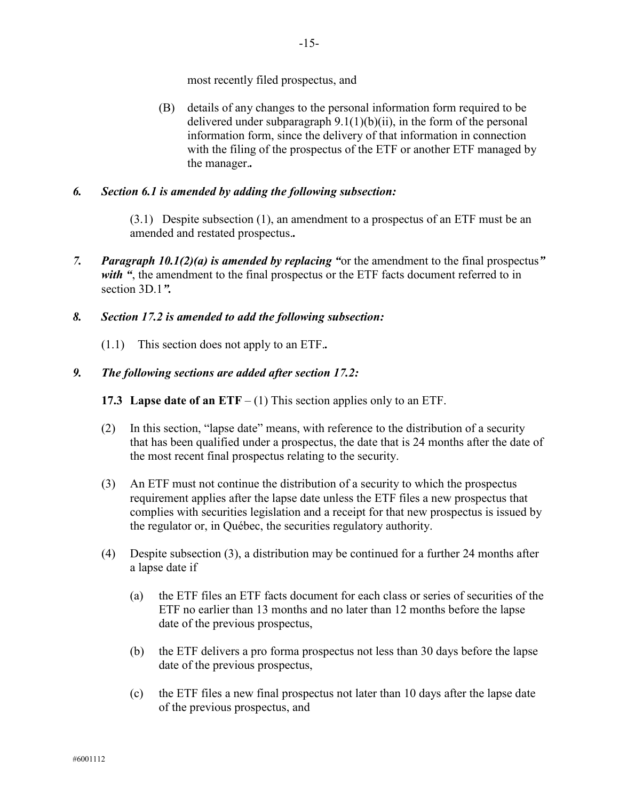most recently filed prospectus, and

(B) details of any changes to the personal information form required to be delivered under subparagraph  $9.1(1)(b)(ii)$ , in the form of the personal information form, since the delivery of that information in connection with the filing of the prospectus of the ETF or another ETF managed by the manager.*.*

# *6. Section 6.1 is amended by adding the following subsection:*

(3.1) Despite subsection (1), an amendment to a prospectus of an ETF must be an amended and restated prospectus.*.*

*7. Paragraph 10.1(2)(a) is amended by replacing "*or the amendment to the final prospectus*"*  with ", the amendment to the final prospectus or the ETF facts document referred to in section 3D.1*".*

# *8. Section 17.2 is amended to add the following subsection:*

(1.1) This section does not apply to an ETF.*.*

### *9. The following sections are added after section 17.2:*

**17.3 Lapse date of an ETF** – (1) This section applies only to an ETF.

- (2) In this section, "lapse date" means, with reference to the distribution of a security that has been qualified under a prospectus, the date that is 24 months after the date of the most recent final prospectus relating to the security.
- (3) An ETF must not continue the distribution of a security to which the prospectus requirement applies after the lapse date unless the ETF files a new prospectus that complies with securities legislation and a receipt for that new prospectus is issued by the regulator or, in Québec, the securities regulatory authority.
- (4) Despite subsection (3), a distribution may be continued for a further 24 months after a lapse date if
	- (a) the ETF files an ETF facts document for each class or series of securities of the ETF no earlier than 13 months and no later than 12 months before the lapse date of the previous prospectus,
	- (b) the ETF delivers a pro forma prospectus not less than 30 days before the lapse date of the previous prospectus,
	- (c) the ETF files a new final prospectus not later than 10 days after the lapse date of the previous prospectus, and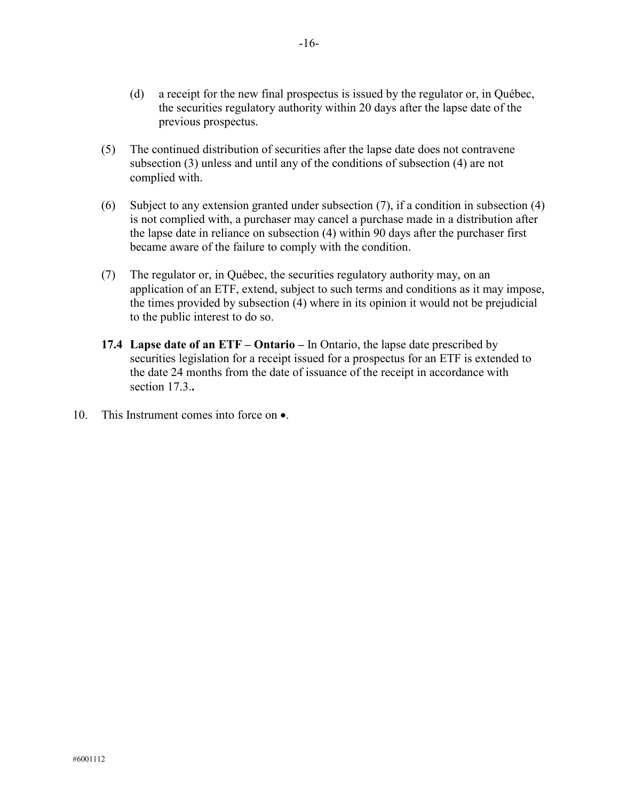- (d) a receipt for the new final prospectus is issued by the regulator or, in Québec, the securities regulatory authority within 20 days after the lapse date of the previous prospectus.
- (5) The continued distribution of securities after the lapse date does not contravene subsection (3) unless and until any of the conditions of subsection (4) are not complied with.
- (6) Subject to any extension granted under subsection (7), if a condition in subsection (4) is not complied with, a purchaser may cancel a purchase made in a distribution after the lapse date in reliance on subsection (4) within 90 days after the purchaser first became aware of the failure to comply with the condition.
- (7) The regulator or, in Québec, the securities regulatory authority may, on an application of an ETF, extend, subject to such terms and conditions as it may impose, the times provided by subsection (4) where in its opinion it would not be prejudicial to the public interest to do so.
- **17.4 Lapse date of an ETF – Ontario –** In Ontario, the lapse date prescribed by securities legislation for a receipt issued for a prospectus for an ETF is extended to the date 24 months from the date of issuance of the receipt in accordance with section 17.3.**.**
- 10. This Instrument comes into force on  $\bullet$ .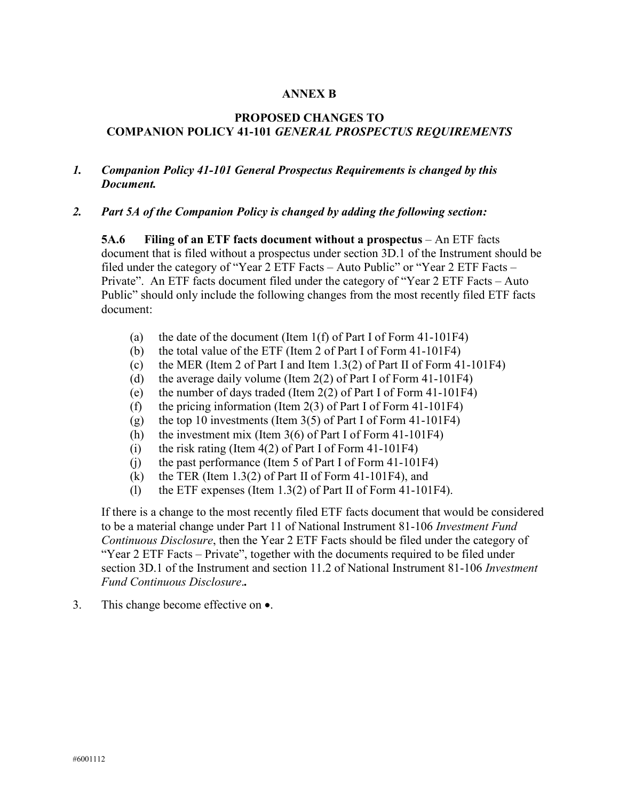### **ANNEX B**

# **PROPOSED CHANGES TO COMPANION POLICY 41-101** *GENERAL PROSPECTUS REQUIREMENTS*

# *1. Companion Policy 41-101 General Prospectus Requirements is changed by this Document.*

### *2. Part 5A of the Companion Policy is changed by adding the following section:*

**5A.6 Filing of an ETF facts document without a prospectus** – An ETF facts document that is filed without a prospectus under section 3D.1 of the Instrument should be filed under the category of "Year 2 ETF Facts – Auto Public" or "Year 2 ETF Facts – Private". An ETF facts document filed under the category of "Year 2 ETF Facts – Auto Public" should only include the following changes from the most recently filed ETF facts document:

- (a) the date of the document (Item 1(f) of Part I of Form 41-101F4)
- (b) the total value of the ETF (Item 2 of Part I of Form 41-101F4)
- (c) the MER (Item 2 of Part I and Item 1.3(2) of Part II of Form 41-101F4)
- (d) the average daily volume (Item 2(2) of Part I of Form 41-101F4)
- (e) the number of days traded (Item 2(2) of Part I of Form 41-101F4)
- (f) the pricing information (Item  $2(3)$  of Part I of Form  $41-101F4$ )
- (g) the top 10 investments (Item  $3(5)$  of Part I of Form 41-101F4)
- (h) the investment mix (Item 3(6) of Part I of Form 41-101F4)
- (i) the risk rating (Item 4(2) of Part I of Form 41-101F4)
- (j) the past performance (Item 5 of Part I of Form 41-101F4)
- (k) the TER (Item  $1.3(2)$  of Part II of Form 41-101F4), and
- (l) the ETF expenses (Item 1.3(2) of Part II of Form 41-101F4).

If there is a change to the most recently filed ETF facts document that would be considered to be a material change under Part 11 of National Instrument 81-106 *Investment Fund Continuous Disclosure*, then the Year 2 ETF Facts should be filed under the category of "Year 2 ETF Facts – Private", together with the documents required to be filed under section 3D.1 of the Instrument and section 11.2 of National Instrument 81-106 *Investment Fund Continuous Disclosure*.*.*

3. This change become effective on •.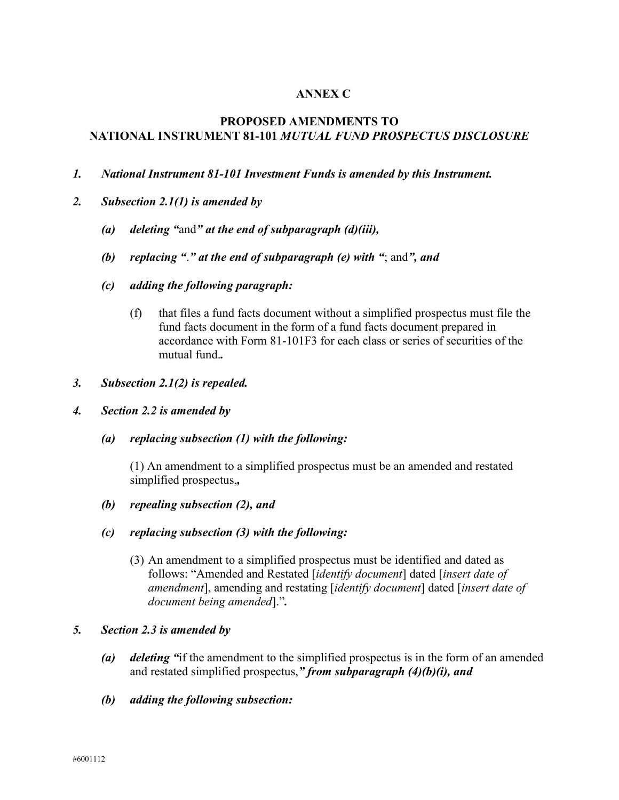# **ANNEX C**

# **PROPOSED AMENDMENTS TO NATIONAL INSTRUMENT 81-101** *MUTUAL FUND PROSPECTUS DISCLOSURE*

- *1. National Instrument 81-101 Investment Funds is amended by this Instrument.*
- *2. Subsection 2.1(1) is amended by* 
	- *(a) deleting "*and*" at the end of subparagraph (d)(iii),*
	- *(b) replacing "*.*" at the end of subparagraph (e) with "*; and*", and*
	- *(c) adding the following paragraph:*
		- (f) that files a fund facts document without a simplified prospectus must file the fund facts document in the form of a fund facts document prepared in accordance with Form 81-101F3 for each class or series of securities of the mutual fund.*.*
- *3. Subsection 2.1(2) is repealed.*
- *4. Section 2.2 is amended by*
	- *(a) replacing subsection (1) with the following:*

(1) An amendment to a simplified prospectus must be an amended and restated simplified prospectus,*,*

- *(b) repealing subsection (2), and*
- *(c) replacing subsection (3) with the following:* 
	- (3) An amendment to a simplified prospectus must be identified and dated as follows: "Amended and Restated [*identify document*] dated [*insert date of amendment*], amending and restating [*identify document*] dated [*insert date of document being amended*]."*.*
- *5. Section 2.3 is amended by* 
	- *(a) deleting "*if the amendment to the simplified prospectus is in the form of an amended and restated simplified prospectus,*" from subparagraph (4)(b)(i), and*
	- *(b) adding the following subsection:*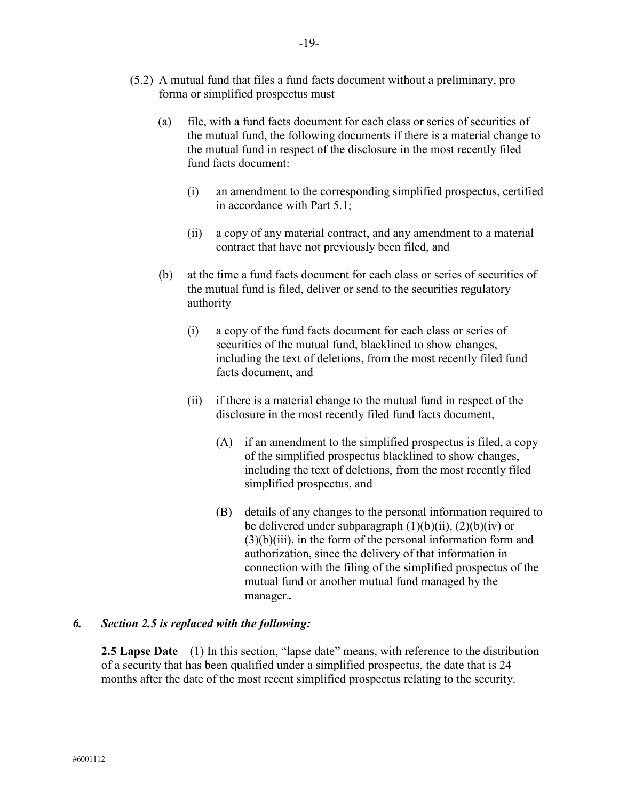- (a) file, with a fund facts document for each class or series of securities of the mutual fund, the following documents if there is a material change to the mutual fund in respect of the disclosure in the most recently filed fund facts document:
	- (i) an amendment to the corresponding simplified prospectus, certified in accordance with Part 5.1;
	- (ii) a copy of any material contract, and any amendment to a material contract that have not previously been filed, and
- (b) at the time a fund facts document for each class or series of securities of the mutual fund is filed, deliver or send to the securities regulatory authority
	- (i) a copy of the fund facts document for each class or series of securities of the mutual fund, blacklined to show changes, including the text of deletions, from the most recently filed fund facts document, and
	- (ii) if there is a material change to the mutual fund in respect of the disclosure in the most recently filed fund facts document,
		- (A) if an amendment to the simplified prospectus is filed, a copy of the simplified prospectus blacklined to show changes, including the text of deletions, from the most recently filed simplified prospectus, and
		- (B) details of any changes to the personal information required to be delivered under subparagraph  $(1)(b)(ii)$ ,  $(2)(b)(iv)$  or  $(3)(b)(iii)$ , in the form of the personal information form and authorization, since the delivery of that information in connection with the filing of the simplified prospectus of the mutual fund or another mutual fund managed by the manager.*.*

# *6. Section 2.5 is replaced with the following:*

**2.5 Lapse Date** – (1) In this section, "lapse date" means, with reference to the distribution of a security that has been qualified under a simplified prospectus, the date that is 24 months after the date of the most recent simplified prospectus relating to the security.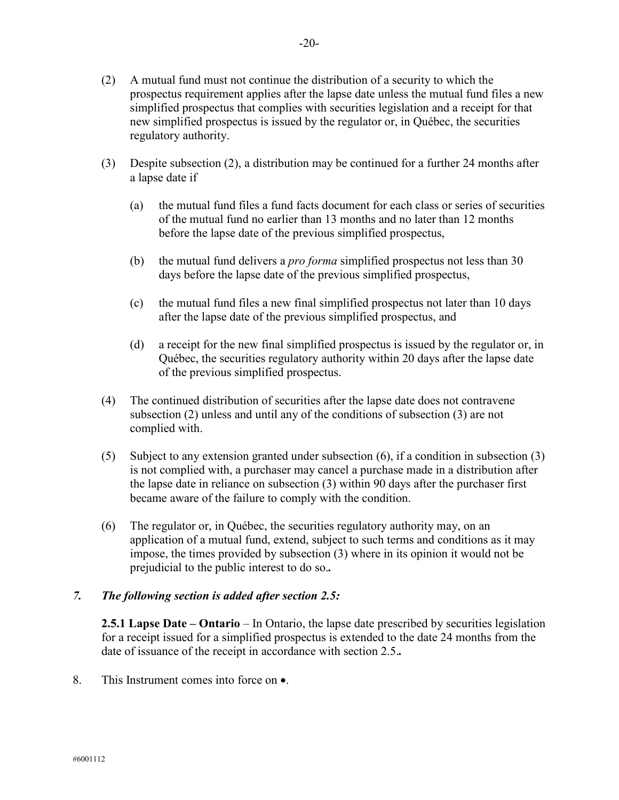- (2) A mutual fund must not continue the distribution of a security to which the prospectus requirement applies after the lapse date unless the mutual fund files a new simplified prospectus that complies with securities legislation and a receipt for that new simplified prospectus is issued by the regulator or, in Québec, the securities regulatory authority.
- (3) Despite subsection (2), a distribution may be continued for a further 24 months after a lapse date if
	- (a) the mutual fund files a fund facts document for each class or series of securities of the mutual fund no earlier than 13 months and no later than 12 months before the lapse date of the previous simplified prospectus,
	- (b) the mutual fund delivers a *pro forma* simplified prospectus not less than 30 days before the lapse date of the previous simplified prospectus,
	- (c) the mutual fund files a new final simplified prospectus not later than 10 days after the lapse date of the previous simplified prospectus, and
	- (d) a receipt for the new final simplified prospectus is issued by the regulator or, in Québec, the securities regulatory authority within 20 days after the lapse date of the previous simplified prospectus.
- (4) The continued distribution of securities after the lapse date does not contravene subsection (2) unless and until any of the conditions of subsection (3) are not complied with.
- (5) Subject to any extension granted under subsection (6), if a condition in subsection (3) is not complied with, a purchaser may cancel a purchase made in a distribution after the lapse date in reliance on subsection (3) within 90 days after the purchaser first became aware of the failure to comply with the condition.
- (6) The regulator or, in Québec, the securities regulatory authority may, on an application of a mutual fund, extend, subject to such terms and conditions as it may impose, the times provided by subsection (3) where in its opinion it would not be prejudicial to the public interest to do so.*.*

# *7. The following section is added after section 2.5:*

**2.5.1 Lapse Date – Ontario** – In Ontario, the lapse date prescribed by securities legislation for a receipt issued for a simplified prospectus is extended to the date 24 months from the date of issuance of the receipt in accordance with section 2.5.*.*

8. This Instrument comes into force on •.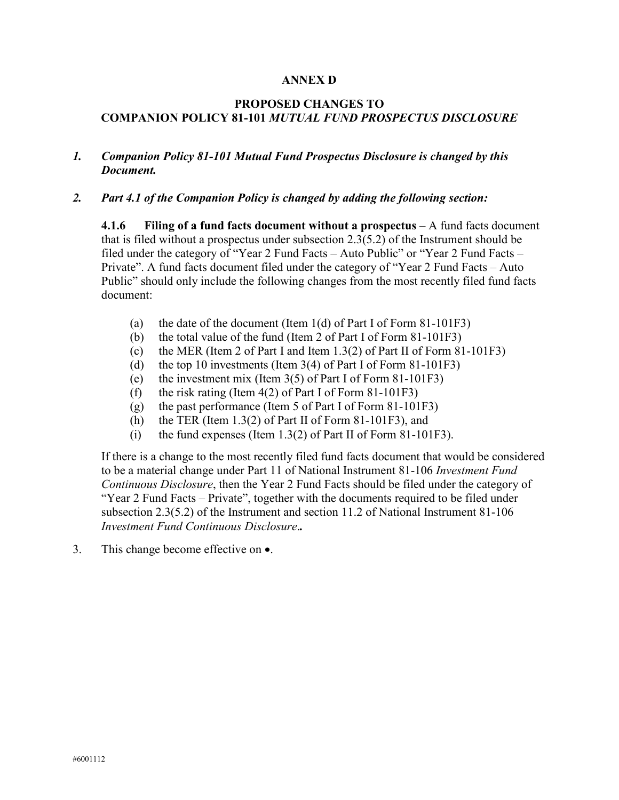### **ANNEX D**

# **PROPOSED CHANGES TO COMPANION POLICY 81-101** *MUTUAL FUND PROSPECTUS DISCLOSURE*

## *1. Companion Policy 81-101 Mutual Fund Prospectus Disclosure is changed by this Document.*

### *2. Part 4.1 of the Companion Policy is changed by adding the following section:*

**4.1.6 Filing of a fund facts document without a prospectus** – A fund facts document that is filed without a prospectus under subsection 2.3(5.2) of the Instrument should be filed under the category of "Year 2 Fund Facts – Auto Public" or "Year 2 Fund Facts – Private". A fund facts document filed under the category of "Year 2 Fund Facts – Auto Public" should only include the following changes from the most recently filed fund facts document:

- (a) the date of the document (Item  $1(d)$  of Part I of Form 81-101F3)
- (b) the total value of the fund (Item 2 of Part I of Form 81-101F3)
- (c) the MER (Item 2 of Part I and Item 1.3(2) of Part II of Form 81-101F3)
- (d) the top 10 investments (Item  $3(4)$  of Part I of Form 81-101F3)
- (e) the investment mix (Item 3(5) of Part I of Form 81-101F3)
- (f) the risk rating (Item  $4(2)$  of Part I of Form 81-101F3)
- (g) the past performance (Item 5 of Part I of Form 81-101F3)
- (h) the TER (Item  $1.3(2)$  of Part II of Form 81-101F3), and
- (i) the fund expenses (Item 1.3(2) of Part II of Form 81-101F3).

If there is a change to the most recently filed fund facts document that would be considered to be a material change under Part 11 of National Instrument 81-106 *Investment Fund Continuous Disclosure*, then the Year 2 Fund Facts should be filed under the category of "Year 2 Fund Facts – Private", together with the documents required to be filed under subsection 2.3(5.2) of the Instrument and section 11.2 of National Instrument 81-106 *Investment Fund Continuous Disclosure*.*.*

3. This change become effective on •.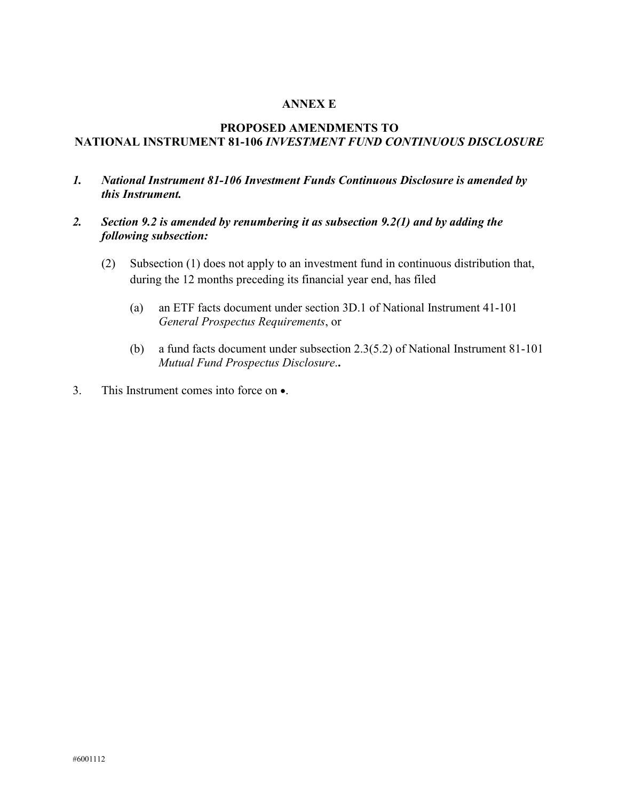### **ANNEX E**

# **PROPOSED AMENDMENTS TO NATIONAL INSTRUMENT 81-106** *INVESTMENT FUND CONTINUOUS DISCLOSURE*

- *1. National Instrument 81-106 Investment Funds Continuous Disclosure is amended by this Instrument.*
- *2. Section 9.2 is amended by renumbering it as subsection 9.2(1) and by adding the following subsection:*
	- (2) Subsection (1) does not apply to an investment fund in continuous distribution that, during the 12 months preceding its financial year end, has filed
		- (a) an ETF facts document under section 3D.1 of National Instrument 41-101 *General Prospectus Requirements*, or
		- (b) a fund facts document under subsection 2.3(5.2) of National Instrument 81-101 *Mutual Fund Prospectus Disclosure*.**.**
- 3. This Instrument comes into force on •.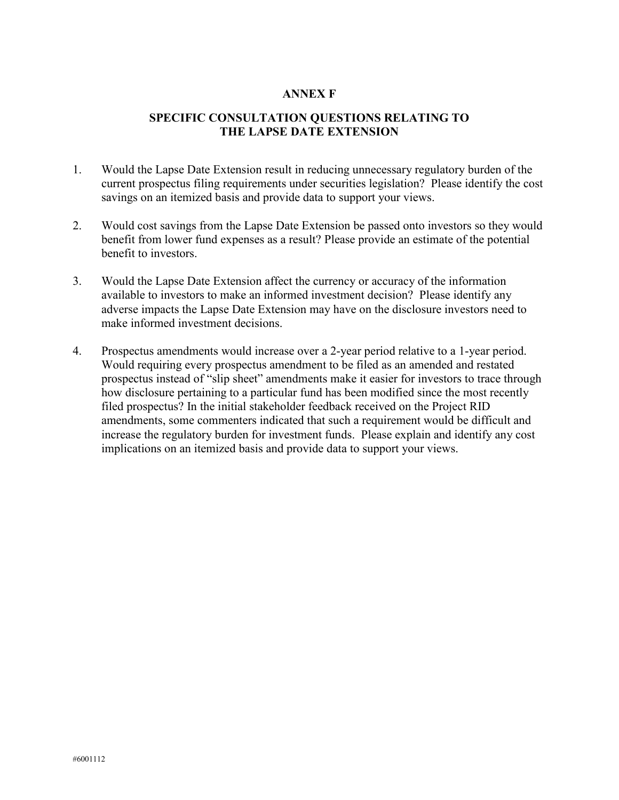### **ANNEX F**

# **SPECIFIC CONSULTATION QUESTIONS RELATING TO THE LAPSE DATE EXTENSION**

- 1. Would the Lapse Date Extension result in reducing unnecessary regulatory burden of the current prospectus filing requirements under securities legislation? Please identify the cost savings on an itemized basis and provide data to support your views.
- 2. Would cost savings from the Lapse Date Extension be passed onto investors so they would benefit from lower fund expenses as a result? Please provide an estimate of the potential benefit to investors.
- 3. Would the Lapse Date Extension affect the currency or accuracy of the information available to investors to make an informed investment decision? Please identify any adverse impacts the Lapse Date Extension may have on the disclosure investors need to make informed investment decisions.
- 4. Prospectus amendments would increase over a 2-year period relative to a 1-year period. Would requiring every prospectus amendment to be filed as an amended and restated prospectus instead of "slip sheet" amendments make it easier for investors to trace through how disclosure pertaining to a particular fund has been modified since the most recently filed prospectus? In the initial stakeholder feedback received on the Project RID amendments, some commenters indicated that such a requirement would be difficult and increase the regulatory burden for investment funds. Please explain and identify any cost implications on an itemized basis and provide data to support your views.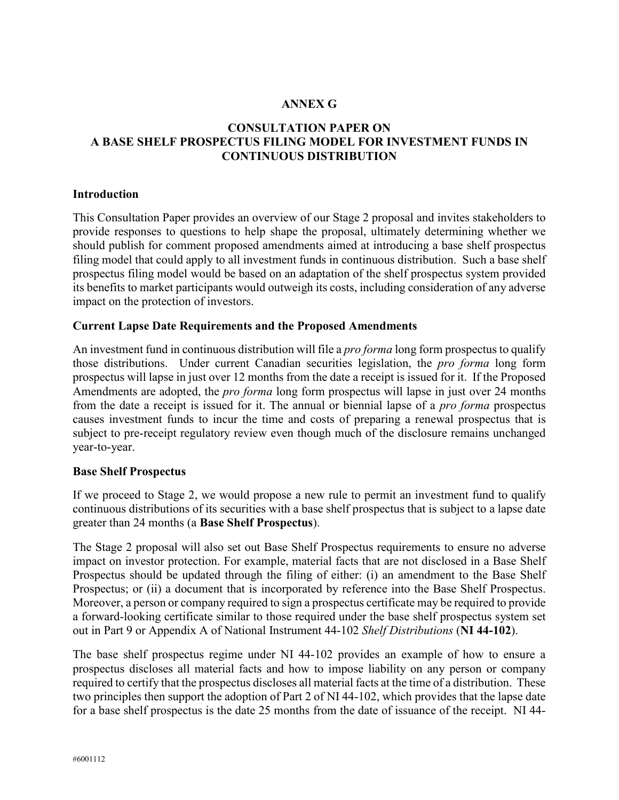# **ANNEX G**

# **CONSULTATION PAPER ON A BASE SHELF PROSPECTUS FILING MODEL FOR INVESTMENT FUNDS IN CONTINUOUS DISTRIBUTION**

### **Introduction**

This Consultation Paper provides an overview of our Stage 2 proposal and invites stakeholders to provide responses to questions to help shape the proposal, ultimately determining whether we should publish for comment proposed amendments aimed at introducing a base shelf prospectus filing model that could apply to all investment funds in continuous distribution. Such a base shelf prospectus filing model would be based on an adaptation of the shelf prospectus system provided its benefits to market participants would outweigh its costs, including consideration of any adverse impact on the protection of investors.

### **Current Lapse Date Requirements and the Proposed Amendments**

An investment fund in continuous distribution will file a *pro forma* long form prospectus to qualify those distributions. Under current Canadian securities legislation, the *pro forma* long form prospectus will lapse in just over 12 months from the date a receipt is issued for it. If the Proposed Amendments are adopted, the *pro forma* long form prospectus will lapse in just over 24 months from the date a receipt is issued for it. The annual or biennial lapse of a *pro forma* prospectus causes investment funds to incur the time and costs of preparing a renewal prospectus that is subject to pre-receipt regulatory review even though much of the disclosure remains unchanged year-to-year.

### **Base Shelf Prospectus**

If we proceed to Stage 2, we would propose a new rule to permit an investment fund to qualify continuous distributions of its securities with a base shelf prospectus that is subject to a lapse date greater than 24 months (a **Base Shelf Prospectus**).

The Stage 2 proposal will also set out Base Shelf Prospectus requirements to ensure no adverse impact on investor protection. For example, material facts that are not disclosed in a Base Shelf Prospectus should be updated through the filing of either: (i) an amendment to the Base Shelf Prospectus; or (ii) a document that is incorporated by reference into the Base Shelf Prospectus. Moreover, a person or company required to sign a prospectus certificate may be required to provide a forward-looking certificate similar to those required under the base shelf prospectus system set out in Part 9 or Appendix A of National Instrument 44-102 *Shelf Distributions* (**NI 44-102**).

The base shelf prospectus regime under NI 44-102 provides an example of how to ensure a prospectus discloses all material facts and how to impose liability on any person or company required to certify that the prospectus discloses all material facts at the time of a distribution. These two principles then support the adoption of Part 2 of NI 44-102, which provides that the lapse date for a base shelf prospectus is the date 25 months from the date of issuance of the receipt. NI 44-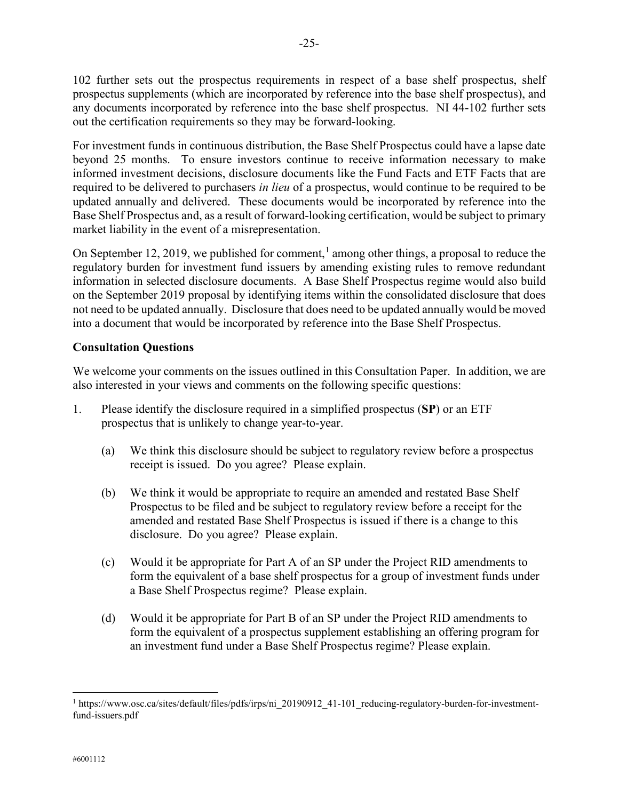102 further sets out the prospectus requirements in respect of a base shelf prospectus, shelf prospectus supplements (which are incorporated by reference into the base shelf prospectus), and any documents incorporated by reference into the base shelf prospectus. NI 44-102 further sets out the certification requirements so they may be forward-looking.

For investment funds in continuous distribution, the Base Shelf Prospectus could have a lapse date beyond 25 months. To ensure investors continue to receive information necessary to make informed investment decisions, disclosure documents like the Fund Facts and ETF Facts that are required to be delivered to purchasers *in lieu* of a prospectus, would continue to be required to be updated annually and delivered. These documents would be incorporated by reference into the Base Shelf Prospectus and, as a result of forward-looking certification, would be subject to primary market liability in the event of a misrepresentation.

On September [1](#page-24-0)2, 2019, we published for comment,<sup>1</sup> among other things, a proposal to reduce the regulatory burden for investment fund issuers by amending existing rules to remove redundant information in selected disclosure documents. A Base Shelf Prospectus regime would also build on the September 2019 proposal by identifying items within the consolidated disclosure that does not need to be updated annually. Disclosure that does need to be updated annually would be moved into a document that would be incorporated by reference into the Base Shelf Prospectus.

# **Consultation Questions**

We welcome your comments on the issues outlined in this Consultation Paper. In addition, we are also interested in your views and comments on the following specific questions:

- 1. Please identify the disclosure required in a simplified prospectus (**SP**) or an ETF prospectus that is unlikely to change year-to-year.
	- (a) We think this disclosure should be subject to regulatory review before a prospectus receipt is issued. Do you agree? Please explain.
	- (b) We think it would be appropriate to require an amended and restated Base Shelf Prospectus to be filed and be subject to regulatory review before a receipt for the amended and restated Base Shelf Prospectus is issued if there is a change to this disclosure. Do you agree? Please explain.
	- (c) Would it be appropriate for Part A of an SP under the Project RID amendments to form the equivalent of a base shelf prospectus for a group of investment funds under a Base Shelf Prospectus regime? Please explain.
	- (d) Would it be appropriate for Part B of an SP under the Project RID amendments to form the equivalent of a prospectus supplement establishing an offering program for an investment fund under a Base Shelf Prospectus regime? Please explain.

l

<span id="page-24-0"></span><sup>&</sup>lt;sup>1</sup> https://www.osc.ca/sites/default/files/pdfs/irps/ni\_20190912\_41-101\_reducing-regulatory-burden-for-investmentfund-issuers.pdf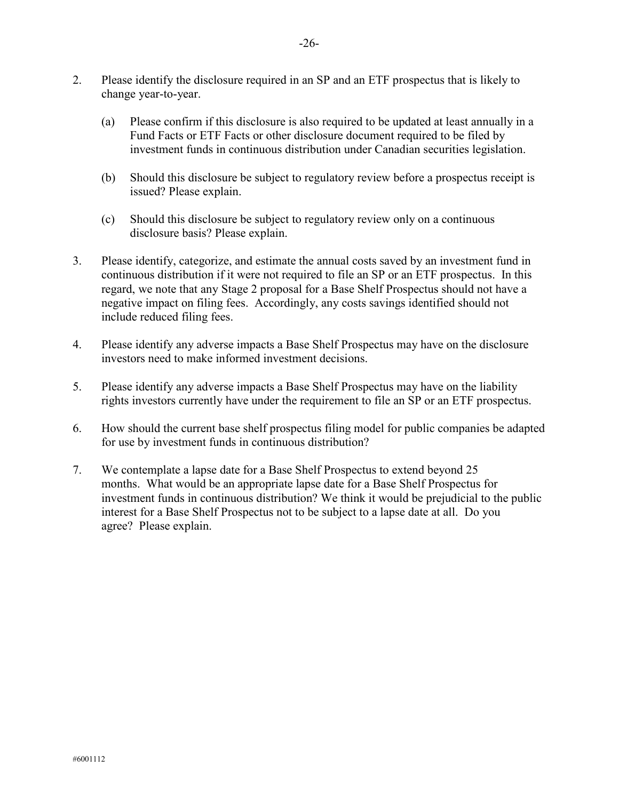- 2. Please identify the disclosure required in an SP and an ETF prospectus that is likely to change year-to-year.
	- (a) Please confirm if this disclosure is also required to be updated at least annually in a Fund Facts or ETF Facts or other disclosure document required to be filed by investment funds in continuous distribution under Canadian securities legislation.
	- (b) Should this disclosure be subject to regulatory review before a prospectus receipt is issued? Please explain.
	- (c) Should this disclosure be subject to regulatory review only on a continuous disclosure basis? Please explain.
- 3. Please identify, categorize, and estimate the annual costs saved by an investment fund in continuous distribution if it were not required to file an SP or an ETF prospectus. In this regard, we note that any Stage 2 proposal for a Base Shelf Prospectus should not have a negative impact on filing fees. Accordingly, any costs savings identified should not include reduced filing fees.
- 4. Please identify any adverse impacts a Base Shelf Prospectus may have on the disclosure investors need to make informed investment decisions.
- 5. Please identify any adverse impacts a Base Shelf Prospectus may have on the liability rights investors currently have under the requirement to file an SP or an ETF prospectus.
- 6. How should the current base shelf prospectus filing model for public companies be adapted for use by investment funds in continuous distribution?
- 7. We contemplate a lapse date for a Base Shelf Prospectus to extend beyond 25 months. What would be an appropriate lapse date for a Base Shelf Prospectus for investment funds in continuous distribution? We think it would be prejudicial to the public interest for a Base Shelf Prospectus not to be subject to a lapse date at all. Do you agree? Please explain.